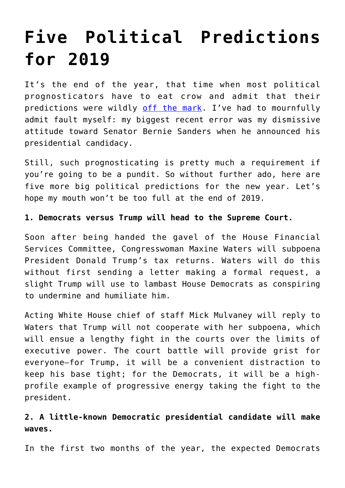# **[Five Political Predictions](https://intellectualtakeout.org/2019/01/five-political-predictions-for-2019/) [for 2019](https://intellectualtakeout.org/2019/01/five-political-predictions-for-2019/)**

It's the end of the year, that time when most political prognosticators have to eat crow and admit that their predictions were wildly [off the mark.](https://www.politico.com/magazine/story/2018/12/26/worst-predictions-of-2018-politics-223514) I've had to mournfully admit fault myself: my biggest recent error was my dismissive attitude toward Senator Bernie Sanders when he announced his presidential candidacy.

Still, such prognosticating is pretty much a requirement if you're going to be a pundit. So without further ado, here are five more big political predictions for the new year. Let's hope my mouth won't be too full at the end of 2019.

#### **1. Democrats versus Trump will head to the Supreme Court.**

Soon after being handed the gavel of the House Financial Services Committee, Congresswoman Maxine Waters will subpoena President Donald Trump's tax returns. Waters will do this without first sending a letter making a formal request, a slight Trump will use to lambast House Democrats as conspiring to undermine and humiliate him.

Acting White House chief of staff Mick Mulvaney will reply to Waters that Trump will not cooperate with her subpoena, which will ensue a lengthy fight in the courts over the limits of executive power. The court battle will provide grist for everyone—for Trump, it will be a convenient distraction to keep his base tight; for the Democrats, it will be a highprofile example of progressive energy taking the fight to the president.

## **2. A little-known Democratic presidential candidate will make waves.**

In the first two months of the year, the expected Democrats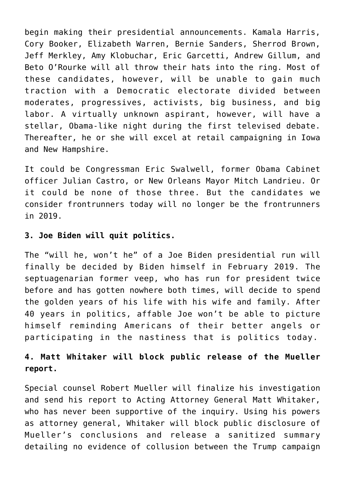begin making their presidential announcements. Kamala Harris, Cory Booker, Elizabeth Warren, Bernie Sanders, Sherrod Brown, Jeff Merkley, Amy Klobuchar, Eric Garcetti, Andrew Gillum, and Beto O'Rourke will all throw their hats into the ring. Most of these candidates, however, will be unable to gain much traction with a Democratic electorate divided between moderates, progressives, activists, big business, and big labor. A virtually unknown aspirant, however, will have a stellar, Obama-like night during the first televised debate. Thereafter, he or she will excel at retail campaigning in Iowa and New Hampshire.

It could be Congressman Eric Swalwell, former Obama Cabinet officer Julian Castro, or New Orleans Mayor Mitch Landrieu. Or it could be none of those three. But the candidates we consider frontrunners today will no longer be the frontrunners in 2019.

### **3. Joe Biden will quit politics.**

The "will he, won't he" of a Joe Biden presidential run will finally be decided by Biden himself in February 2019. The septuagenarian former veep, who has run for president twice before and has gotten nowhere both times, will decide to spend the golden years of his life with his wife and family. After 40 years in politics, affable Joe won't be able to picture himself reminding Americans of their better angels or participating in the nastiness that is politics today.

## **4. Matt Whitaker will block public release of the Mueller report.**

Special counsel Robert Mueller will finalize his investigation and send his report to Acting Attorney General Matt Whitaker, who has never been supportive of the inquiry. Using his powers as attorney general, Whitaker will block public disclosure of Mueller's conclusions and release a sanitized summary detailing no evidence of collusion between the Trump campaign